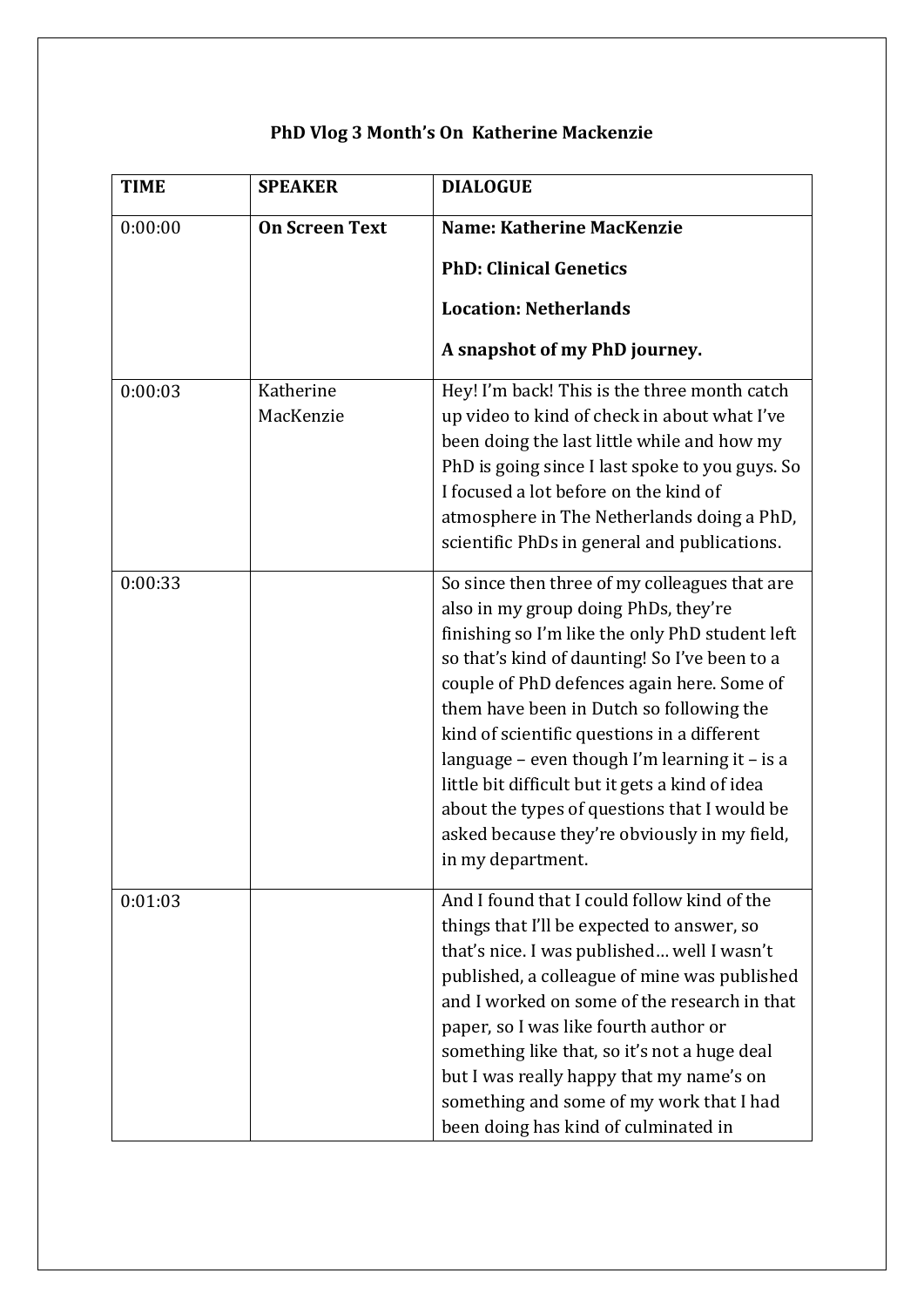| <b>TIME</b> | <b>SPEAKER</b>         | <b>DIALOGUE</b>                                                                                                                                                                                                                                                                                                                                                                                                                                                                                                                                             |
|-------------|------------------------|-------------------------------------------------------------------------------------------------------------------------------------------------------------------------------------------------------------------------------------------------------------------------------------------------------------------------------------------------------------------------------------------------------------------------------------------------------------------------------------------------------------------------------------------------------------|
| 0:00:00     | <b>On Screen Text</b>  | <b>Name: Katherine MacKenzie</b>                                                                                                                                                                                                                                                                                                                                                                                                                                                                                                                            |
|             |                        | <b>PhD: Clinical Genetics</b>                                                                                                                                                                                                                                                                                                                                                                                                                                                                                                                               |
|             |                        | <b>Location: Netherlands</b>                                                                                                                                                                                                                                                                                                                                                                                                                                                                                                                                |
|             |                        | A snapshot of my PhD journey.                                                                                                                                                                                                                                                                                                                                                                                                                                                                                                                               |
| 0:00:03     | Katherine<br>MacKenzie | Hey! I'm back! This is the three month catch<br>up video to kind of check in about what I've<br>been doing the last little while and how my<br>PhD is going since I last spoke to you guys. So<br>I focused a lot before on the kind of<br>atmosphere in The Netherlands doing a PhD,<br>scientific PhDs in general and publications.                                                                                                                                                                                                                       |
| 0:00:33     |                        | So since then three of my colleagues that are<br>also in my group doing PhDs, they're<br>finishing so I'm like the only PhD student left<br>so that's kind of daunting! So I've been to a<br>couple of PhD defences again here. Some of<br>them have been in Dutch so following the<br>kind of scientific questions in a different<br>language - even though I'm learning it - is a<br>little bit difficult but it gets a kind of idea<br>about the types of questions that I would be<br>asked because they're obviously in my field,<br>in my department. |
| 0:01:03     |                        | And I found that I could follow kind of the<br>things that I'll be expected to answer, so<br>that's nice. I was published well I wasn't<br>published, a colleague of mine was published<br>and I worked on some of the research in that<br>paper, so I was like fourth author or<br>something like that, so it's not a huge deal<br>but I was really happy that my name's on<br>something and some of my work that I had<br>been doing has kind of culminated in                                                                                            |

## **PhD Vlog 3 Month's On Katherine Mackenzie**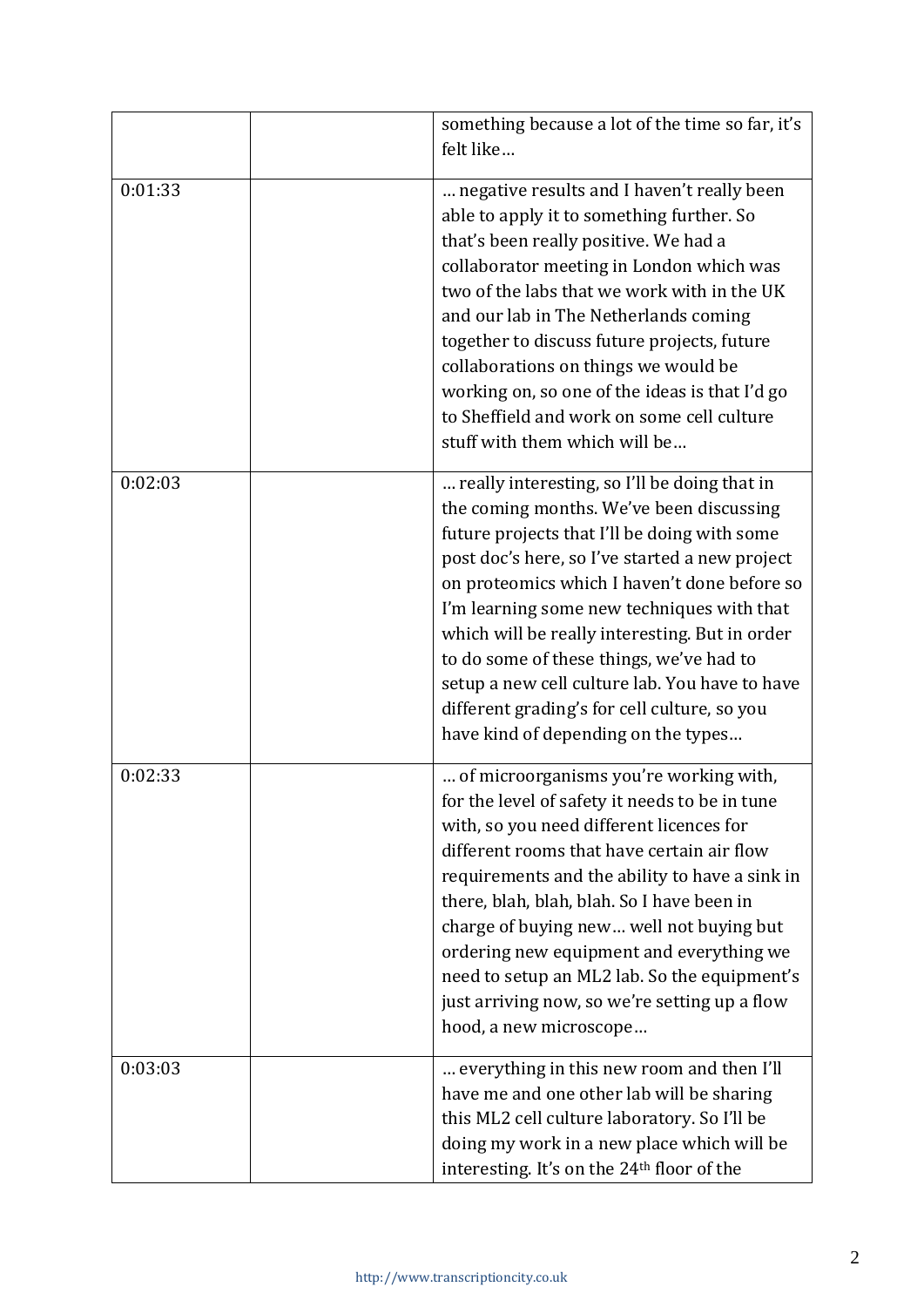|         | something because a lot of the time so far, it's<br>felt like                                                                                                                                                                                                                                                                                                                                                                                                                                                                   |
|---------|---------------------------------------------------------------------------------------------------------------------------------------------------------------------------------------------------------------------------------------------------------------------------------------------------------------------------------------------------------------------------------------------------------------------------------------------------------------------------------------------------------------------------------|
| 0:01:33 | negative results and I haven't really been<br>able to apply it to something further. So<br>that's been really positive. We had a<br>collaborator meeting in London which was<br>two of the labs that we work with in the UK<br>and our lab in The Netherlands coming<br>together to discuss future projects, future<br>collaborations on things we would be<br>working on, so one of the ideas is that I'd go<br>to Sheffield and work on some cell culture<br>stuff with them which will be                                    |
| 0:02:03 | really interesting, so I'll be doing that in<br>the coming months. We've been discussing<br>future projects that I'll be doing with some<br>post doc's here, so I've started a new project<br>on proteomics which I haven't done before so<br>I'm learning some new techniques with that<br>which will be really interesting. But in order<br>to do some of these things, we've had to<br>setup a new cell culture lab. You have to have<br>different grading's for cell culture, so you<br>have kind of depending on the types |
| 0:02:33 | of microorganisms you're working with,<br>for the level of safety it needs to be in tune<br>with, so you need different licences for<br>different rooms that have certain air flow<br>requirements and the ability to have a sink in<br>there, blah, blah, blah. So I have been in<br>charge of buying new well not buying but<br>ordering new equipment and everything we<br>need to setup an ML2 lab. So the equipment's<br>just arriving now, so we're setting up a flow<br>hood, a new microscope                           |
| 0:03:03 | everything in this new room and then I'll<br>have me and one other lab will be sharing<br>this ML2 cell culture laboratory. So I'll be<br>doing my work in a new place which will be<br>interesting. It's on the 24th floor of the                                                                                                                                                                                                                                                                                              |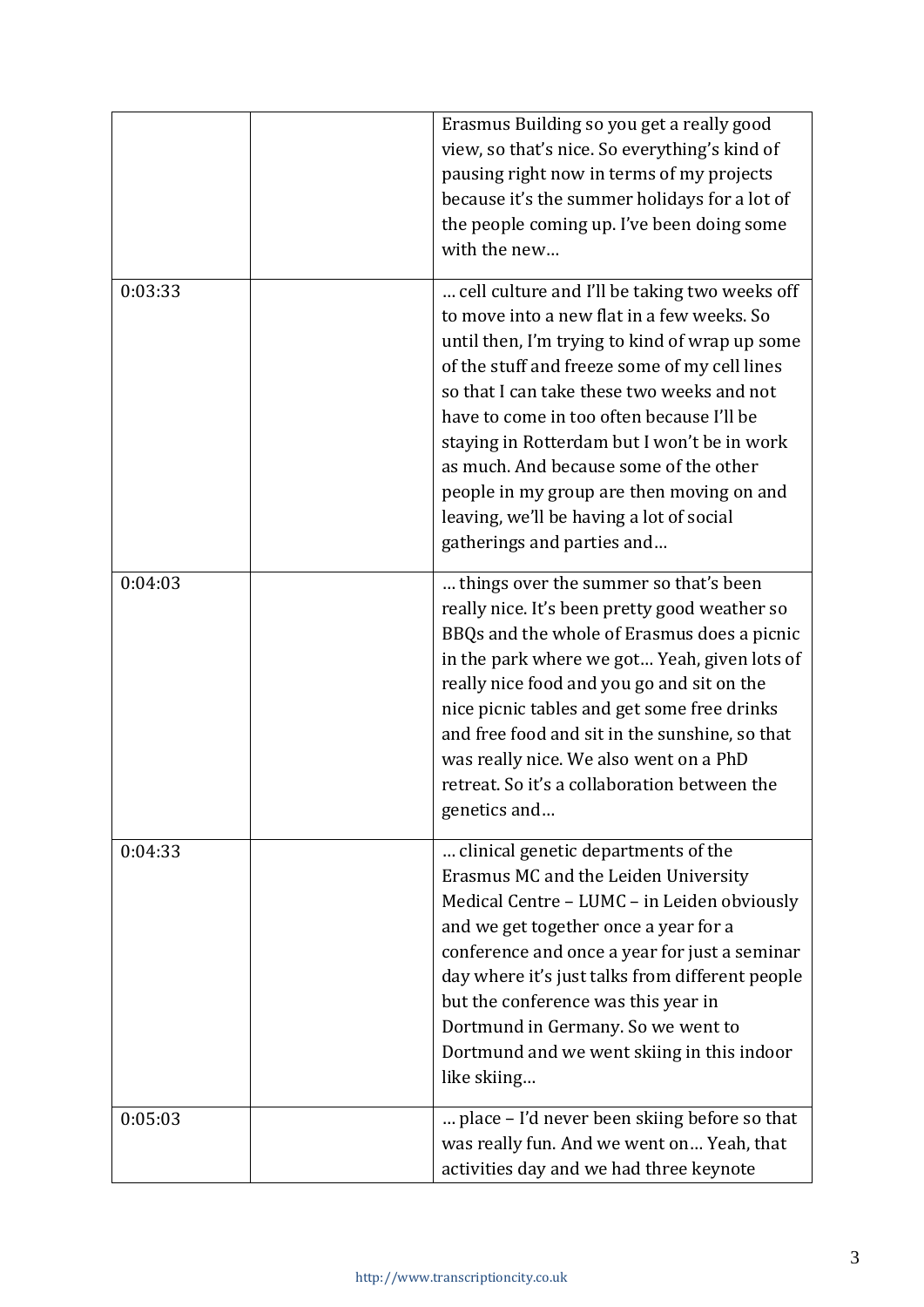|         | Erasmus Building so you get a really good<br>view, so that's nice. So everything's kind of<br>pausing right now in terms of my projects<br>because it's the summer holidays for a lot of<br>the people coming up. I've been doing some<br>with the new                                                                                                                                                                                                                                                    |
|---------|-----------------------------------------------------------------------------------------------------------------------------------------------------------------------------------------------------------------------------------------------------------------------------------------------------------------------------------------------------------------------------------------------------------------------------------------------------------------------------------------------------------|
| 0:03:33 | cell culture and I'll be taking two weeks off<br>to move into a new flat in a few weeks. So<br>until then, I'm trying to kind of wrap up some<br>of the stuff and freeze some of my cell lines<br>so that I can take these two weeks and not<br>have to come in too often because I'll be<br>staying in Rotterdam but I won't be in work<br>as much. And because some of the other<br>people in my group are then moving on and<br>leaving, we'll be having a lot of social<br>gatherings and parties and |
| 0:04:03 | things over the summer so that's been<br>really nice. It's been pretty good weather so<br>BBQs and the whole of Erasmus does a picnic<br>in the park where we got Yeah, given lots of<br>really nice food and you go and sit on the<br>nice picnic tables and get some free drinks<br>and free food and sit in the sunshine, so that<br>was really nice. We also went on a PhD<br>retreat. So it's a collaboration between the<br>genetics and                                                            |
| 0:04:33 | clinical genetic departments of the<br>Erasmus MC and the Leiden University<br>Medical Centre - LUMC - in Leiden obviously<br>and we get together once a year for a<br>conference and once a year for just a seminar<br>day where it's just talks from different people<br>but the conference was this year in<br>Dortmund in Germany. So we went to<br>Dortmund and we went skiing in this indoor<br>like skiing                                                                                         |
| 0:05:03 | place – I'd never been skiing before so that<br>was really fun. And we went on Yeah, that<br>activities day and we had three keynote                                                                                                                                                                                                                                                                                                                                                                      |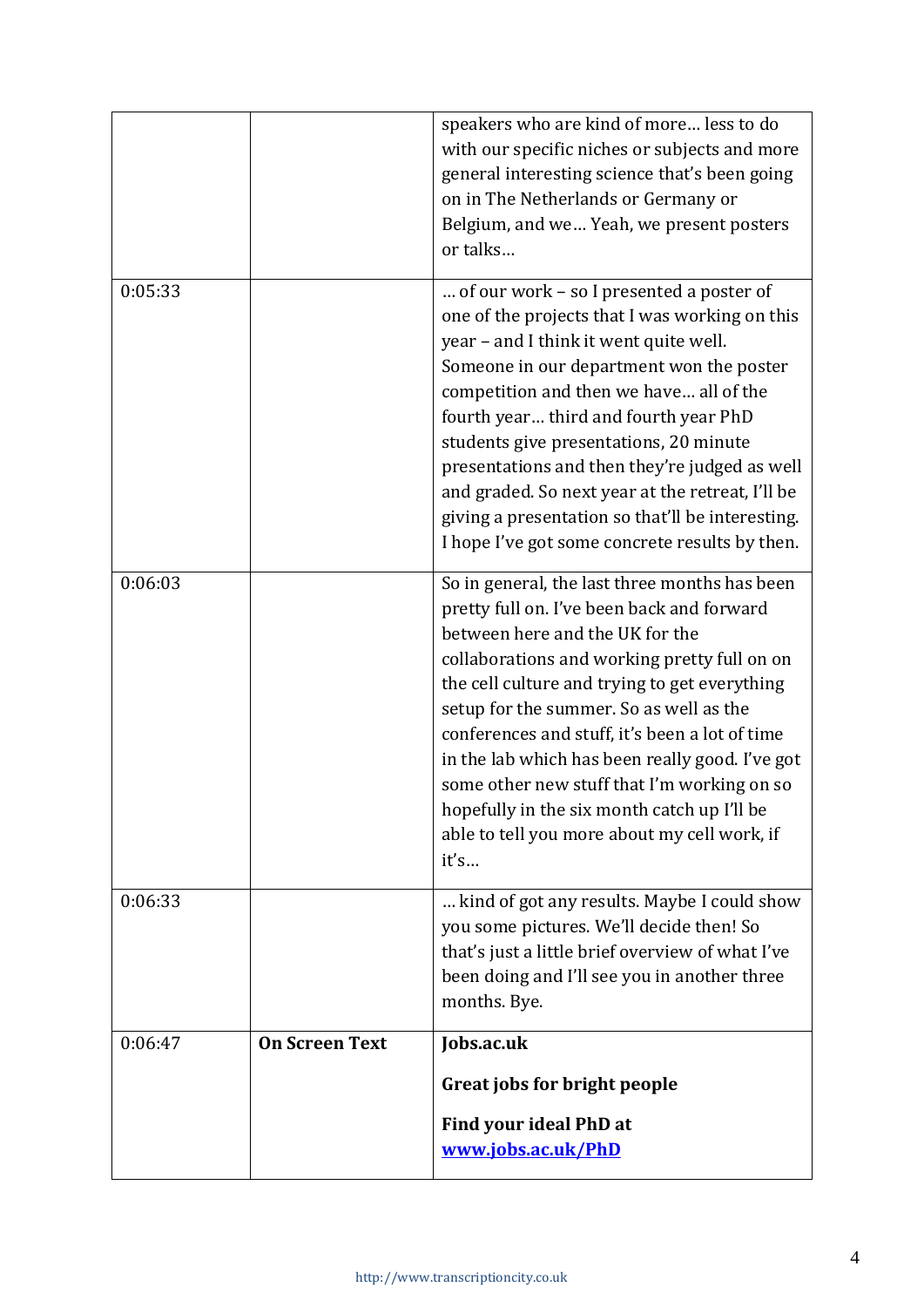|         |                       | speakers who are kind of more less to do<br>with our specific niches or subjects and more<br>general interesting science that's been going                                                                                                                                                                                                                                                                                                                                                                                            |
|---------|-----------------------|---------------------------------------------------------------------------------------------------------------------------------------------------------------------------------------------------------------------------------------------------------------------------------------------------------------------------------------------------------------------------------------------------------------------------------------------------------------------------------------------------------------------------------------|
|         |                       | on in The Netherlands or Germany or<br>Belgium, and we Yeah, we present posters<br>or talks                                                                                                                                                                                                                                                                                                                                                                                                                                           |
| 0:05:33 |                       | of our work - so I presented a poster of<br>one of the projects that I was working on this<br>year - and I think it went quite well.<br>Someone in our department won the poster<br>competition and then we have all of the<br>fourth year third and fourth year PhD<br>students give presentations, 20 minute<br>presentations and then they're judged as well<br>and graded. So next year at the retreat, I'll be<br>giving a presentation so that'll be interesting.<br>I hope I've got some concrete results by then.             |
| 0:06:03 |                       | So in general, the last three months has been<br>pretty full on. I've been back and forward<br>between here and the UK for the<br>collaborations and working pretty full on on<br>the cell culture and trying to get everything<br>setup for the summer. So as well as the<br>conferences and stuff, it's been a lot of time<br>in the lab which has been really good. I've got<br>some other new stuff that I'm working on so<br>hopefully in the six month catch up I'll be<br>able to tell you more about my cell work, if<br>it's |
| 0:06:33 |                       | kind of got any results. Maybe I could show<br>you some pictures. We'll decide then! So<br>that's just a little brief overview of what I've<br>been doing and I'll see you in another three<br>months. Bye.                                                                                                                                                                                                                                                                                                                           |
| 0:06:47 | <b>On Screen Text</b> | Jobs.ac.uk                                                                                                                                                                                                                                                                                                                                                                                                                                                                                                                            |
|         |                       | Great jobs for bright people                                                                                                                                                                                                                                                                                                                                                                                                                                                                                                          |
|         |                       | Find your ideal PhD at<br>www.jobs.ac.uk/PhD                                                                                                                                                                                                                                                                                                                                                                                                                                                                                          |